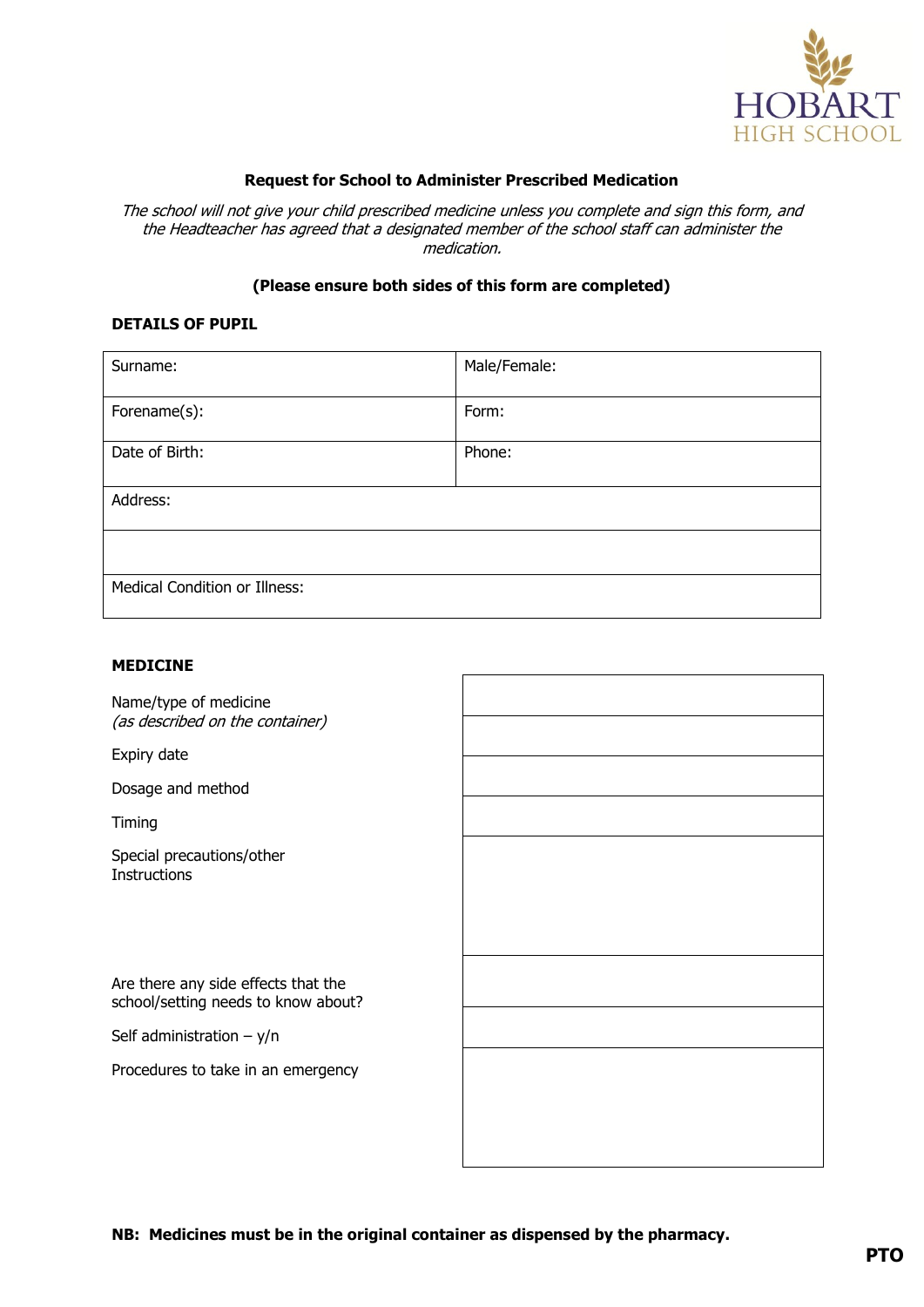

# **Request for School to Administer Prescribed Medication**

The school will not give your child prescribed medicine unless you complete and sign this form, and the Headteacher has agreed that a designated member of the school staff can administer the medication.

## **(Please ensure both sides of this form are completed)**

#### **DETAILS OF PUPIL**

| Surname:                             | Male/Female: |
|--------------------------------------|--------------|
| Forename(s):                         | Form:        |
| Date of Birth:                       | Phone:       |
| Address:                             |              |
|                                      |              |
| <b>Medical Condition or Illness:</b> |              |

 $\mathsf{r}$ 

# **MEDICINE**